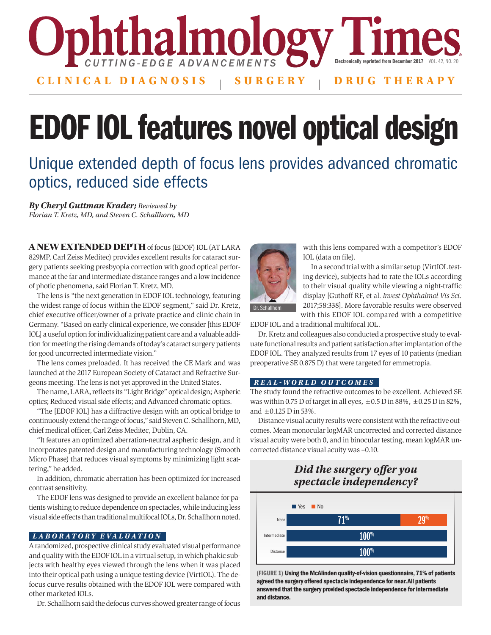

# EDOF IOL features novel optical design

## Unique extended depth of focus lens provides advanced chromatic optics, reduced side effects

*By Cheryl Guttman Krader; Reviewed by Florian T. Kretz, MD, and Steven C. Schallhorn, MD*

A NEW EXTENDED DEPTH of focus (EDOF) IOL (AT LARA 829MP, Carl Zeiss Meditec) provides excellent results for cataract surgery patients seeking presbyopia correction with good optical performance at the far and intermediate distance ranges and a low incidence of photic phenomena, said Florian T. Kretz, MD.

The lens is "the next generation in EDOF IOL technology, featuring the widest range of focus within the EDOF segment," said Dr. Kretz, chief executive officer/owner of a private practice and clinic chain in Germany. "Based on early clinical experience, we consider [this EDOF IOL] a useful option for individualizing patient care and a valuable addition for meeting the rising demands of today's cataract surgery patients for good uncorrected intermediate vision."

The lens comes preloaded. It has received the CE Mark and was launched at the 2017 European Society of Cataract and Refractive Surgeons meeting. The lens is not yet approved in the United States.

The name, LARA, reflects its "Light Bridge" optical design; Aspheric optics; Reduced visual side effects; and Advanced chromatic optics.

"The [EDOF IOL] has a diffractive design with an optical bridge to continuously extend the range of focus," said Steven C. Schallhorn, MD, chief medical officer, Carl Zeiss Meditec, Dublin, CA.

"It features an optimized aberration-neutral aspheric design, and it incorporates patented design and manufacturing technology (Smooth Micro Phase) that reduces visual symptoms by minimizing light scattering," he added.

In addition, chromatic aberration has been optimized for increased contrast sensitivity.

The EDOF lens was designed to provide an excellent balance for patients wishing to reduce dependence on spectacles, while inducing less visual side effects than traditional multifocal IOLs, Dr. Schallhorn noted.

## *LABOR ATORY EVALUATION*

A randomized, prospective clinical study evaluated visual performance and quality with the EDOF IOL in a virtual setup, in which phakic subjects with healthy eyes viewed through the lens when it was placed into their optical path using a unique testing device (VirtIOL). The defocus curve results obtained with the EDOF IOL were compared with other marketed IOLs.

Dr. Schallhorn said the defocus curves showed greater range of focus



with this lens compared with a competitor's EDOF IOL (data on file).

In a second trial with a similar setup (VirtIOL testing device), subjects had to rate the IOLs according to their visual quality while viewing a night-traffic display [Guthoff RF, et al. *Invest Ophthalmol Vis Sci*. 2017;58:338]. More favorable results were observed with this EDOF IOL compared with a competitive

EDOF IOL and a traditional multifocal IOL.

Dr. Kretz and colleagues also conducted a prospective study to evaluate functional results and patient satisfaction after implantation of the EDOF IOL. They analyzed results from 17 eyes of 10 patients (median preoperative SE 0.875 D) that were targeted for emmetropia.

### *REAL-WORLD OUTCOMES*

The study found the refractive outcomes to be excellent. Achieved SE was within 0.75 D of target in all eyes,  $\pm$  0.5 D in 88%,  $\pm$  0.25 D in 82%, and  $\pm 0.125$  D in 53%.

Distance visual acuity results were consistent with the refractive outcomes. Mean monocular logMAR uncorrected and corrected distance visual acuity were both 0, and in binocular testing, mean logMAR uncorrected distance visual acuity was –0.10.

## *Did the surgery offer you spectacle independency?*



(FIGURE 1) Using the McAlinden quality-of-vision questionnaire, 71% of patients agreed the surgery offered spectacle independence for near. All patients answered that the surgery provided spectacle independence for intermediate and distance.